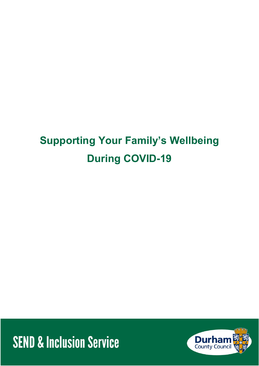# **Supporting Your Family's Wellbeing During COVID-19**

**SEND & Inclusion Service** 

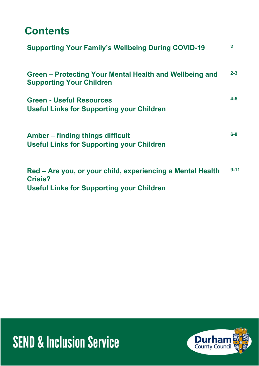## **Contents**

| <b>Supporting Your Family's Wellbeing During COVID-19</b>                                  | $\mathbf{2}$ |
|--------------------------------------------------------------------------------------------|--------------|
| Green – Protecting Your Mental Health and Wellbeing and<br><b>Supporting Your Children</b> | $2 - 3$      |
| <b>Green - Useful Resources</b><br><b>Useful Links for Supporting your Children</b>        | $4 - 5$      |
| Amber – finding things difficult<br><b>Useful Links for Supporting your Children</b>       | $6 - 8$      |
| Red – Are you, or your child, experiencing a Mental Health<br><b>Crisis?</b>               | $9 - 11$     |

**Useful Links for Supporting your Children**



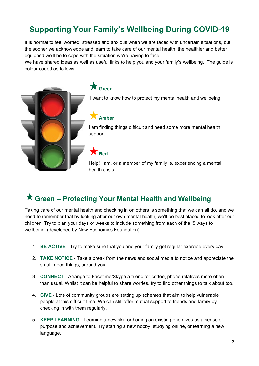#### **Supporting Your Family's Wellbeing During COVID-19**

It is normal to feel worried, stressed and anxious when we are faced with uncertain situations, but the sooner we acknowledge and learn to take care of our mental health, the healthier and better equipped we'll be to cope with the situation we're having to face.

We have shared ideas as well as useful links to help you and your family's wellbeing. The guide is colour coded as follows:



**Green**

I want to know how to protect my mental health and wellbeing.

#### **Amber**

I am finding things difficult and need some more mental health support.

**Red**

Help! I am, or a member of my family is, experiencing a mental health crisis.

#### **Green – Protecting Your Mental Health and Wellbeing**

Taking care of our mental health and checking in on others is something that we can all do, and we need to remember that by looking after our own mental health, we'll be best placed to look after our children. Try to plan your days or weeks to include something from each of the '5 ways to wellbeing' (developed by New Economics Foundation)

- 1. **BE ACTIVE** Try to make sure that you and your family get regular exercise every day.
- 2. **TAKE NOTICE** Take a break from the news and social media to notice and appreciate the small, good things, around you.
- 3. **CONNECT** Arrange to Facetime/Skype a friend for coffee, phone relatives more often than usual. Whilst it can be helpful to share worries, try to find other things to talk about too.
- 4. **GIVE** Lots of community groups are setting up schemes that aim to help vulnerable people at this difficult time. We can still offer mutual support to friends and family by checking in with them regularly.
- 5. **KEEP LEARNING** Learning a new skill or honing an existing one gives us a sense of purpose and achievement. Try starting a new hobby, studying online, or learning a new language.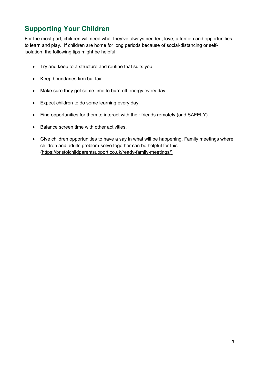#### **Supporting Your Children**

For the most part, children will need what they've always needed; love, attention and opportunities to learn and play. If children are home for long periods because of social-distancing or selfisolation, the following tips might be helpful:

- Try and keep to a structure and routine that suits you.
- Keep boundaries firm but fair.
- Make sure they get some time to burn off energy every day.
- Expect children to do some learning every day.
- Find opportunities for them to interact with their friends remotely (and SAFELY).
- Balance screen time with other activities.
- Give children opportunities to have a say in what will be happening. Family meetings where children and adults problem-solve together can be helpful for this. [\(https://bristolchildparentsupport.co.uk/ready-family-meetings/\)](https://bristolchildparentsupport.co.uk/ready-family-meetings/)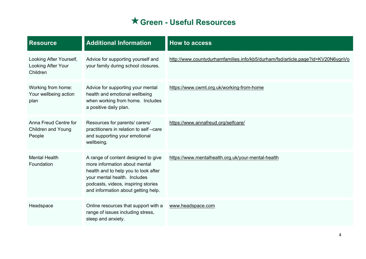### **Green - Useful Resources**

| <b>Resource</b>                                              | <b>Additional Information</b>                                                                                                                                                                                              | <b>How to access</b>                                                            |
|--------------------------------------------------------------|----------------------------------------------------------------------------------------------------------------------------------------------------------------------------------------------------------------------------|---------------------------------------------------------------------------------|
| Looking After Yourself,<br>Looking After Your<br>Children    | Advice for supporting yourself and<br>your family during school closures.                                                                                                                                                  | http://www.countydurhamfamilies.info/kb5/durham/fsd/article.page?id=KV20N6ygnVo |
| Working from home:<br>Your wellbeing action<br>plan          | Advice for supporting your mental<br>health and emotional wellbeing<br>when working from home. Includes<br>a positive daily plan.                                                                                          | https://www.cwmt.org.uk/working-from-home                                       |
| Anna Freud Centre for<br><b>Children and Young</b><br>People | Resources for parents/ carers/<br>practitioners in relation to self-care<br>and supporting your emotional<br>wellbeing.                                                                                                    | https://www.annafreud.org/selfcare/                                             |
| <b>Mental Health</b><br>Foundation                           | A range of content designed to give<br>more information about mental<br>health and to help you to look after<br>your mental health. Includes<br>podcasts, videos, inspiring stories<br>and information about getting help. | https://www.mentalhealth.org.uk/your-mental-health                              |
| Headspace                                                    | Online resources that support with a<br>range of issues including stress,<br>sleep and anxiety.                                                                                                                            | www.headspace.com                                                               |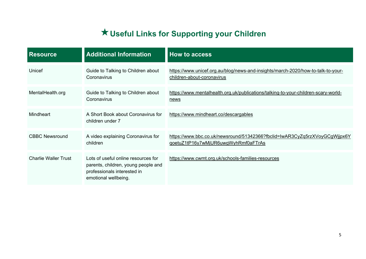## **Useful Links for Supporting your Children**

| <b>Resource</b>             | <b>Additional Information</b>                                                                                                     | <b>How to access</b>                                                                                              |
|-----------------------------|-----------------------------------------------------------------------------------------------------------------------------------|-------------------------------------------------------------------------------------------------------------------|
| Unicef                      | Guide to Talking to Children about<br>Coronavirus                                                                                 | https://www.unicef.org.au/blog/news-and-insights/march-2020/how-to-talk-to-your-<br>children-about-coronavirus    |
| MentalHealth.org            | Guide to Talking to Children about<br>Coronavirus                                                                                 | https://www.mentalhealth.org.uk/publications/talking-to-your-children-scary-world-<br><u>news</u>                 |
| <b>Mindheart</b>            | A Short Book about Coronavirus for<br>children under 7                                                                            | https://www.mindheart.co/descargables                                                                             |
| <b>CBBC Newsround</b>       | A video explaining Coronavirus for<br>children                                                                                    | https://www.bbc.co.uk/newsround/51342366?fbclid=lwAR3CyZq5rzXVoyGCgWjjpx6Y<br>qoetuZ1tP16y7wMjUR6uwgWyhRmf0aFTrAs |
| <b>Charlie Waller Trust</b> | Lots of useful online resources for<br>parents, children, young people and<br>professionals interested in<br>emotional wellbeing. | https://www.cwmt.org.uk/schools-families-resources                                                                |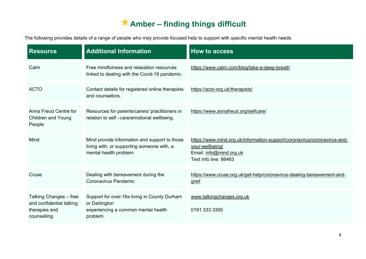#### **Amber – finding things difficult**

The following provides details of a range of people who may provide focused help to support with specific mental health needs.

| <b>Resource</b>                                                                     | <b>Additional Information</b>                                                                                         | <b>How to access</b>                                                                                                                            |
|-------------------------------------------------------------------------------------|-----------------------------------------------------------------------------------------------------------------------|-------------------------------------------------------------------------------------------------------------------------------------------------|
| Calm                                                                                | Free mindfulness and relaxation resources<br>linked to dealing with the Covid-19 pandemic.                            | https://www.calm.com/blog/take-a-deep-breath                                                                                                    |
| <b>ACTO</b>                                                                         | Contact details for registered online therapists<br>and counsellors.                                                  | https://acto-org.uk/therapists/                                                                                                                 |
| Anna Freud Centre for<br><b>Children and Young</b><br>People                        | Resources for parents/carers/ practitioners in<br>relation to self -care/emotional wellbeing.                         | https://www.annafreud.org/selfcare/                                                                                                             |
| Mind                                                                                | Mind provide information and support to those<br>living with, or supporting someone with, a<br>mental health problem. | https://www.mind.org.uk/information-support/coronavirus/coronavirus-and-<br>your-wellbeing/<br>Email: info@mind.org.uk<br>Text info line: 86463 |
| Cruse                                                                               | Dealing with bereavement during the<br><b>Coronavirus Pandemic</b>                                                    | https://www.cruse.org.uk/get-help/coronavirus-dealing-bereavement-and-<br>grief                                                                 |
| Talking Changes - free<br>and confidential talking<br>therapies and<br>counselling. | Support for over-16s living in County Durham<br>or Darlington<br>experiencing a common mental health<br>problem.      | www.talkingchanges.org.uk<br>0191 333 3300                                                                                                      |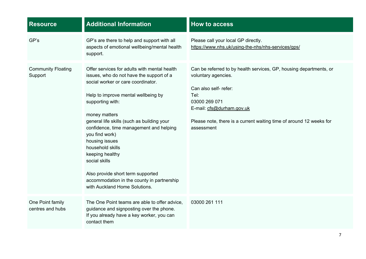| <b>Resource</b>                      | <b>Additional Information</b>                                                                                                                                                                                                                                                                                                                                                                                                                                                                                       | <b>How to access</b>                                                                                                                                                                                                                                          |
|--------------------------------------|---------------------------------------------------------------------------------------------------------------------------------------------------------------------------------------------------------------------------------------------------------------------------------------------------------------------------------------------------------------------------------------------------------------------------------------------------------------------------------------------------------------------|---------------------------------------------------------------------------------------------------------------------------------------------------------------------------------------------------------------------------------------------------------------|
| GP's                                 | GP's are there to help and support with all<br>aspects of emotional wellbeing/mental health<br>support.                                                                                                                                                                                                                                                                                                                                                                                                             | Please call your local GP directly.<br>https://www.nhs.uk/using-the-nhs/nhs-services/gps/                                                                                                                                                                     |
| <b>Community Floating</b><br>Support | Offer services for adults with mental health<br>issues, who do not have the support of a<br>social worker or care coordinator.<br>Help to improve mental wellbeing by<br>supporting with:<br>money matters<br>general life skills (such as building your<br>confidence, time management and helping<br>you find work)<br>housing issues<br>household skills<br>keeping healthy<br>social skills<br>Also provide short term supported<br>accommodation in the county in partnership<br>with Auckland Home Solutions. | Can be referred to by health services, GP, housing departments, or<br>voluntary agencies.<br>Can also self- refer:<br>Tel:<br>03000 269 071<br>E-mail: cfs@durham.gov.uk<br>Please note, there is a current waiting time of around 12 weeks for<br>assessment |
| One Point family<br>centres and hubs | The One Point teams are able to offer advice,<br>guidance and signposting over the phone.<br>If you already have a key worker, you can<br>contact them                                                                                                                                                                                                                                                                                                                                                              | 03000 261 111                                                                                                                                                                                                                                                 |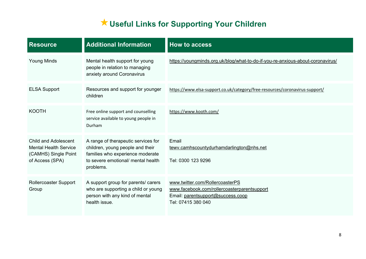### **Useful Links for Supporting Your Children**

| <b>Resource</b>                                                                                        | <b>Additional Information</b>                                                                                                                                  | <b>How to access</b>                                                                                                                      |
|--------------------------------------------------------------------------------------------------------|----------------------------------------------------------------------------------------------------------------------------------------------------------------|-------------------------------------------------------------------------------------------------------------------------------------------|
| <b>Young Minds</b>                                                                                     | Mental health support for young<br>people in relation to managing<br>anxiety around Coronavirus                                                                | https://youngminds.org.uk/blog/what-to-do-if-you-re-anxious-about-coronavirus/                                                            |
| <b>ELSA Support</b>                                                                                    | Resources and support for younger<br>children                                                                                                                  | https://www.elsa-support.co.uk/category/free-resources/coronavirus-support/                                                               |
| <b>KOOTH</b>                                                                                           | Free online support and counselling<br>service available to young people in<br>Durham                                                                          | https://www.kooth.com/                                                                                                                    |
| <b>Child and Adolescent</b><br><b>Mental Health Service</b><br>(CAMHS) Single Point<br>of Access (SPA) | A range of therapeutic services for<br>children, young people and their<br>families who experience moderate<br>to severe emotional/ mental health<br>problems. | Email<br>tewy.camhscountydurhamdarlington@nhs.net<br>Tel: 0300 123 9296                                                                   |
| Rollercoaster Support<br>Group                                                                         | A support group for parents/ carers<br>who are supporting a child or young<br>person with any kind of mental<br>health issue.                                  | www.twitter.com/RollercoasterPS<br>www.facebook.com/rollercoasterparentsupport<br>Email: parentsupport@success.coop<br>Tel: 07415 380 040 |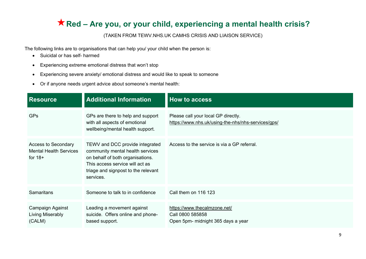#### **Red – Are you, or your child, experiencing a mental health crisis?**

#### (TAKEN FROM TEWV.NHS.UK CAMHS CRISIS AND LIAISON SERVICE)

The following links are to organisations that can help you/ your child when the person is:

- Suicidal or has self- harmed
- Experiencing extreme emotional distress that won't stop
- Experiencing severe anxiety/ emotional distress and would like to speak to someone
- Or if anyone needs urgent advice about someone's mental health:

| <b>Resource</b>                                                          | <b>Additional Information</b>                                                                                                                                                                  | <b>How to access</b>                                                                      |
|--------------------------------------------------------------------------|------------------------------------------------------------------------------------------------------------------------------------------------------------------------------------------------|-------------------------------------------------------------------------------------------|
| <b>GPs</b>                                                               | GPs are there to help and support<br>with all aspects of emotional<br>wellbeing/mental health support.                                                                                         | Please call your local GP directly.<br>https://www.nhs.uk/using-the-nhs/nhs-services/gps/ |
| <b>Access to Secondary</b><br><b>Mental Health Services</b><br>for $18+$ | TEWV and DCC provide integrated<br>community mental health services<br>on behalf of both organisations.<br>This access service will act as<br>triage and signpost to the relevant<br>services. | Access to the service is via a GP referral.                                               |
| <b>Samaritans</b>                                                        | Someone to talk to in confidence                                                                                                                                                               | Call them on 116 123                                                                      |
| Campaign Against<br>Living Miserably<br>(CALM)                           | Leading a movement against<br>suicide. Offers online and phone-<br>based support.                                                                                                              | https://www.thecalmzone.net/<br>Call 0800 585858<br>Open 5pm- midnight 365 days a year    |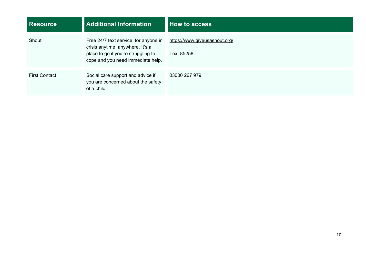| <b>Resource</b>      | <b>Additional Information</b>                                                                                                                         | <b>How to access</b>                        |
|----------------------|-------------------------------------------------------------------------------------------------------------------------------------------------------|---------------------------------------------|
| Shout                | Free 24/7 text service, for anyone in<br>crisis anytime, anywhere. It's a<br>place to go if you're struggling to<br>cope and you need immediate help. | https://www.giveusashout.org/<br>Text 85258 |
| <b>First Contact</b> | Social care support and advice if<br>you are concerned about the safety<br>of a child                                                                 | 03000 267 979                               |